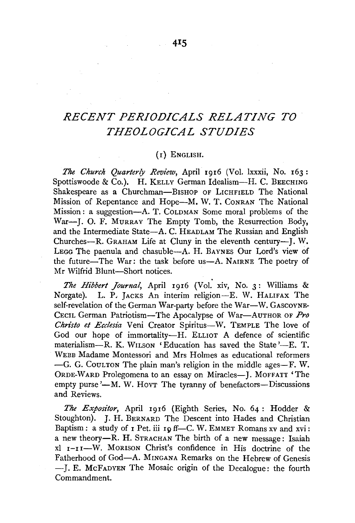## *RECENT PERIODICALS RELATING TO THEOLOGICAL STUDIES*

## (I) ENGLISH.

*The Church Quarterly Review,* April 1916 (Vol. lxxxii, No. 163 : Spottiswoode & Co.). H. KELLY German Idealism-H. C. BEECHING Shakespeare as a Churchman-BISHOP OF LICHFIELD The National Mission of Repentance and Hope-M. W. T. CONRAN The National Mission: a suggestion-A. T. COLDMAN Some moral problems of the War-J. O. F. MURRAY The Empty Tomb, the Resurrection Body, and the Intermediate State—A. C. HEADLAM The Russian and English Churches-R. GRAHAM Life at Cluny in the eleventh century-J. W. LEGG The paenula and chasuble-A. H. BAYNES Our Lord's view of the future-The War: the task before us-A. NAIRNE The poetry of Mr Wilfrid Blunt-Short notices.

*The Hibbert Journal,* April 1916 (Vol. xiv, No. 3: Williams & Norgate). L. P, JACKS An interim religion-E. W. HALIFAX The self-revelation of the German War-party before the War-W. GASCOYNE-CECIL German Patriotism-The Apocalypse of War-AUTHOR OF *Pro Christo et Ecclesia* Veni Creator Spiritus-W. TEMPLE The love of God our hope of immortality-H. ELLIOT A defence of scientific materialism—R. K. WILSON 'Education has saved the State'—E. T. WEBB Madame Montessori and Mrs Holmes as educational reformers -G. G. CouLTON The plain man's religion in the middle ages-F. W. ORDE-WARD Prolegomena to an essay on Miracles-I. MOFFATT 'The empty purse  $'-M$ . W. Hoyr The tyranny of benefactors-Discussions and Reviews.

*The Expositor,* April 1916 (Eighth Series, No. 64: Hodder & Stoughton). J. H. BERNARD The Descent into Hades and Christian Baptism: a study of  $I$  Pet. iii  $I \rho$  ff-C. W. EMMET Romans xv and xvi: a new theory-R. H. STRACHAN The birth of a new message: Isaiah xl 1-rr-W. MORISON Christ's confidence in His doctrine of the Fatherhood of God-A. M1NGANA Remarks on the Hebrew of Genesis -- J. E. McFADYEN The Mosaic origin of the Decalogue: the fourth Commandment.